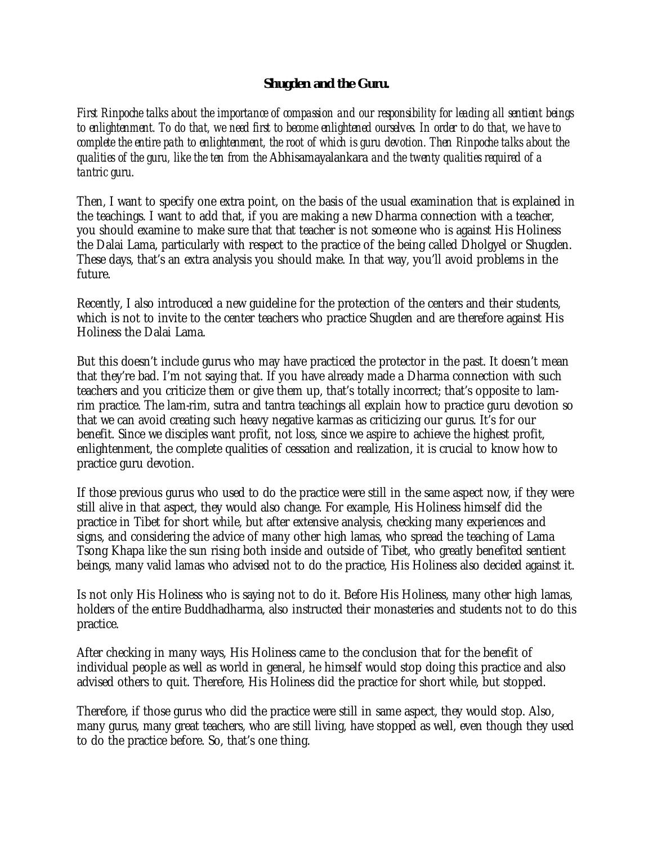## **Shugden and the Guru.**

*First Rinpoche talks about the importance of compassion and our responsibility for leading all sentient beings to enlightenment. To do that, we need first to become enlightened ourselves. In order to do that, we have to complete the entire path to enlightenment, the root of which is guru devotion. Then Rinpoche talks about the qualities of the guru, like the ten from the* Abhisamayalankara *and the twenty qualities required of a tantric guru.* 

Then, I want to specify one extra point, on the basis of the usual examination that is explained in the teachings. I want to add that, if you are making a new Dharma connection with a teacher, you should examine to make sure that that teacher is not someone who is against His Holiness the Dalai Lama, particularly with respect to the practice of the being called Dholgyel or Shugden. These days, that's an extra analysis you should make. In that way, you'll avoid problems in the future.

Recently, I also introduced a new guideline for the protection of the centers and their students, which is not to invite to the center teachers who practice Shugden and are therefore against His Holiness the Dalai Lama.

But this doesn't include gurus who may have practiced the protector in the past. It doesn't mean that they're bad. I'm not saying that. If you have already made a Dharma connection with such teachers and you criticize them or give them up, that's totally incorrect; that's opposite to lamrim practice. The lam-rim, sutra and tantra teachings all explain how to practice guru devotion so that we can avoid creating such heavy negative karmas as criticizing our gurus. It's for our benefit. Since we disciples want profit, not loss, since we aspire to achieve the highest profit, enlightenment, the complete qualities of cessation and realization, it is crucial to know how to practice guru devotion.

If those previous gurus who used to do the practice were still in the same aspect now, if they were still alive in that aspect, they would also change. For example, His Holiness himself did the practice in Tibet for short while, but after extensive analysis, checking many experiences and signs, and considering the advice of many other high lamas, who spread the teaching of Lama Tsong Khapa like the sun rising both inside and outside of Tibet, who greatly benefited sentient beings, many valid lamas who advised not to do the practice, His Holiness also decided against it.

Is not only His Holiness who is saying not to do it. Before His Holiness, many other high lamas, holders of the entire Buddhadharma, also instructed their monasteries and students not to do this practice.

After checking in many ways, His Holiness came to the conclusion that for the benefit of individual people as well as world in general, he himself would stop doing this practice and also advised others to quit. Therefore, His Holiness did the practice for short while, but stopped.

Therefore, if those gurus who did the practice were still in same aspect, they would stop. Also, many gurus, many great teachers, who are still living, have stopped as well, even though they used to do the practice before. So, that's one thing.